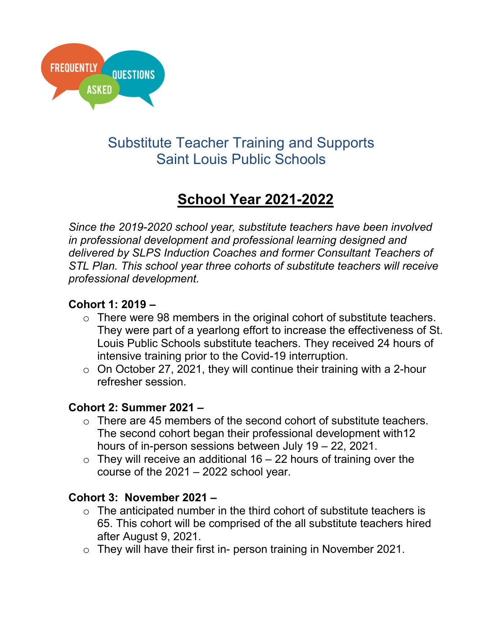

## Substitute Teacher Training and Supports Saint Louis Public Schools

# **School Year 2021-2022**

*Since the 2019-2020 school year, substitute teachers have been involved in professional development and professional learning designed and delivered by SLPS Induction Coaches and former Consultant Teachers of STL Plan. This school year three cohorts of substitute teachers will receive professional development.*

### **Cohort 1: 2019 –**

- $\circ$  There were 98 members in the original cohort of substitute teachers. They were part of a yearlong effort to increase the effectiveness of St. Louis Public Schools substitute teachers. They received 24 hours of intensive training prior to the Covid-19 interruption.
- $\circ$  On October 27, 2021, they will continue their training with a 2-hour refresher session.

#### **Cohort 2: Summer 2021 –**

- $\circ$  There are 45 members of the second cohort of substitute teachers. The second cohort began their professional development with12 hours of in-person sessions between July 19 – 22, 2021.
- $\circ$  They will receive an additional 16 22 hours of training over the course of the 2021 – 2022 school year.

#### **Cohort 3: November 2021 –**

- $\circ$  The anticipated number in the third cohort of substitute teachers is 65. This cohort will be comprised of the all substitute teachers hired after August 9, 2021.
- o They will have their first in- person training in November 2021.